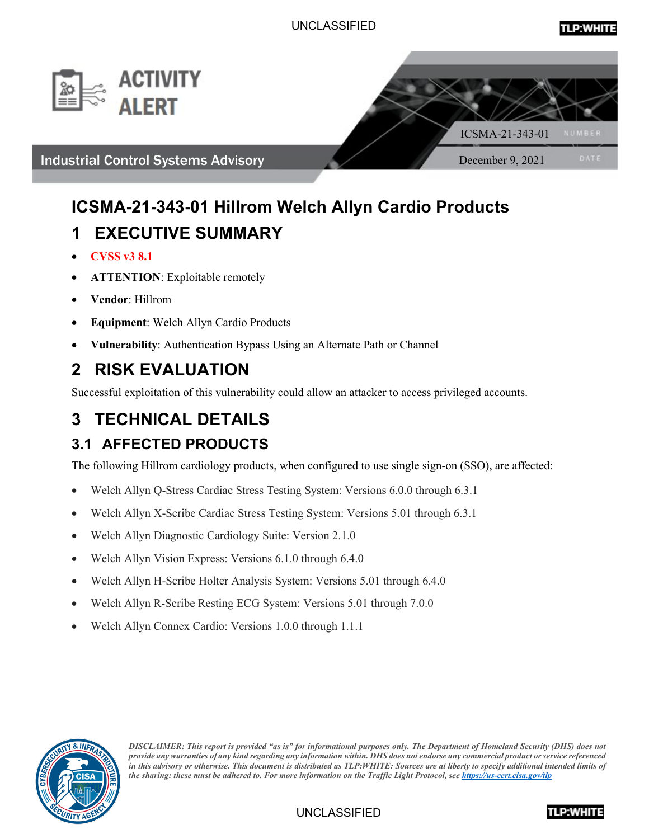



## **ICSMA-21-343-01 Hillrom Welch Allyn Cardio Products 1 EXECUTIVE SUMMARY**

- **CVSS v3 8.1**
- **ATTENTION**: Exploitable remotely
- **Vendor**: Hillrom
- **Equipment**: Welch Allyn Cardio Products
- **Vulnerability**: Authentication Bypass Using an Alternate Path or Channel

## **2 RISK EVALUATION**

Successful exploitation of this vulnerability could allow an attacker to access privileged accounts.

# **3 TECHNICAL DETAILS**

## **3.1 AFFECTED PRODUCTS**

The following Hillrom cardiology products, when configured to use single sign-on (SSO), are affected:

- Welch Allyn Q-Stress Cardiac Stress Testing System: Versions 6.0.0 through 6.3.1
- Welch Allyn X-Scribe Cardiac Stress Testing System: Versions 5.01 through 6.3.1
- Welch Allyn Diagnostic Cardiology Suite: Version 2.1.0
- Welch Allyn Vision Express: Versions 6.1.0 through 6.4.0
- Welch Allyn H-Scribe Holter Analysis System: Versions 5.01 through 6.4.0
- Welch Allyn R-Scribe Resting ECG System: Versions 5.01 through 7.0.0
- Welch Allyn Connex Cardio: Versions 1.0.0 through 1.1.1



*DISCLAIMER: This report is provided "as is" for informational purposes only. The Department of Homeland Security (DHS) does not provide any warranties of any kind regarding any information within. DHS does not endorse any commercial product or service referenced in this advisory or otherwise. This document is distributed as TLP:WHITE: Sources are at liberty to specify additional intended limits of the sharing: these must be adhered to. For more information on the Traffic Light Protocol, se[e https://us-cert.cisa.gov/tlp](https://us-cert.cisa.gov/tlp)*

UNCLASSIFIED

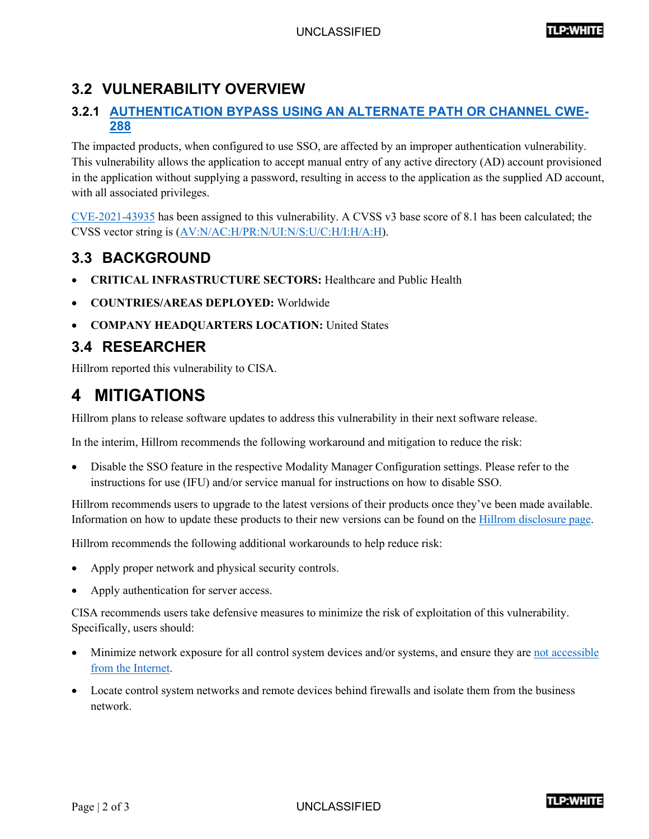#### **3.2 VULNERABILITY OVERVIEW**

#### **3.2.1 [AUTHENTICATION BYPASS USING AN ALTERNATE PATH OR CHANNEL CWE-](https://cwe.mitre.org/data/definitions/288.html)[288](https://cwe.mitre.org/data/definitions/288.html)**

The impacted products, when configured to use SSO, are affected by an improper authentication vulnerability. This vulnerability allows the application to accept manual entry of any active directory (AD) account provisioned in the application without supplying a password, resulting in access to the application as the supplied AD account, with all associated privileges.

 $CVE-2021-43935$  has been assigned to this vulnerability. A CVSS v3 base score of 8.1 has been calculated; the CVSS vector string is [\(AV:N/AC:H/PR:N/UI:N/S:U/C:H/I:H/A:H\)](https://www.first.org/cvss/calculator/3.0#CVSS:3.0/AV:N/AC:H/PR:N/UI:N/S:U/C:H/I:H/A:H).

### **3.3 BACKGROUND**

- **CRITICAL INFRASTRUCTURE SECTORS:** Healthcare and Public Health
- **COUNTRIES/AREAS DEPLOYED:** Worldwide
- **COMPANY HEADQUARTERS LOCATION:** United States

#### **3.4 RESEARCHER**

Hillrom reported this vulnerability to CISA.

### **4 MITIGATIONS**

Hillrom plans to release software updates to address this vulnerability in their next software release.

In the interim, Hillrom recommends the following workaround and mitigation to reduce the risk:

• Disable the SSO feature in the respective Modality Manager Configuration settings. Please refer to the instructions for use (IFU) and/or service manual for instructions on how to disable SSO.

Hillrom recommends users to upgrade to the latest versions of their products once they've been made available. Information on how to update these products to their new versions can be found on the [Hillrom disclosure page.](https://www.hillrom.com/en/responsible-disclosures/)

Hillrom recommends the following additional workarounds to help reduce risk:

- Apply proper network and physical security controls.
- Apply authentication for server access.

CISA recommends users take defensive measures to minimize the risk of exploitation of this vulnerability. Specifically, users should:

- Minimize network exposure for all control system devices and/or systems, and ensure they ar[e not accessible](https://us-cert.cisa.gov/ics/alerts/ICS-ALERT-10-301-01)  [from the Internet.](https://us-cert.cisa.gov/ics/alerts/ICS-ALERT-10-301-01)
- Locate control system networks and remote devices behind firewalls and isolate them from the business network.